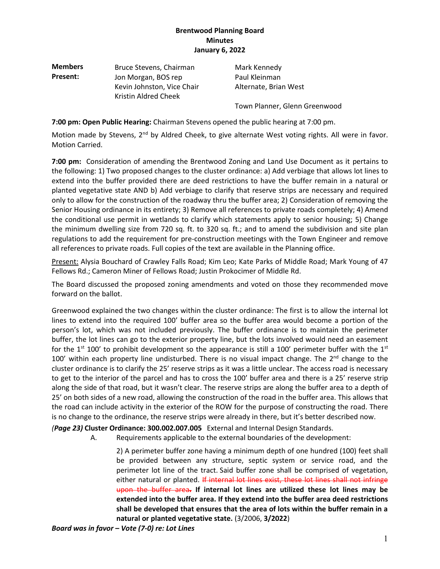| <b>Members</b> | Bruce Stevens, Chairman                            | Mark Kennedy                  |  |  |  |
|----------------|----------------------------------------------------|-------------------------------|--|--|--|
| Present:       | Jon Morgan, BOS rep                                | Paul Kleinman                 |  |  |  |
|                | Kevin Johnston, Vice Chair<br>Kristin Aldred Cheek | Alternate, Brian West         |  |  |  |
|                |                                                    | Town Planner, Glenn Greenwood |  |  |  |

**7:00 pm: Open Public Hearing:** Chairman Stevens opened the public hearing at 7:00 pm.

Motion made by Stevens, 2<sup>nd</sup> by Aldred Cheek, to give alternate West voting rights. All were in favor. Motion Carried.

**7:00 pm:** Consideration of amending the Brentwood Zoning and Land Use Document as it pertains to the following: 1) Two proposed changes to the cluster ordinance: a) Add verbiage that allows lot lines to extend into the buffer provided there are deed restrictions to have the buffer remain in a natural or planted vegetative state AND b) Add verbiage to clarify that reserve strips are necessary and required only to allow for the construction of the roadway thru the buffer area; 2) Consideration of removing the Senior Housing ordinance in its entirety; 3) Remove all references to private roads completely; 4) Amend the conditional use permit in wetlands to clarify which statements apply to senior housing; 5) Change the minimum dwelling size from 720 sq. ft. to 320 sq. ft.; and to amend the subdivision and site plan regulations to add the requirement for pre-construction meetings with the Town Engineer and remove all references to private roads. Full copies of the text are available in the Planning office.

Present: Alysia Bouchard of Crawley Falls Road; Kim Leo; Kate Parks of Middle Road; Mark Young of 47 Fellows Rd.; Cameron Miner of Fellows Road; Justin Prokocimer of Middle Rd.

The Board discussed the proposed zoning amendments and voted on those they recommended move forward on the ballot.

Greenwood explained the two changes within the cluster ordinance: The first is to allow the internal lot lines to extend into the required 100' buffer area so the buffer area would become a portion of the person's lot, which was not included previously. The buffer ordinance is to maintain the perimeter buffer, the lot lines can go to the exterior property line, but the lots involved would need an easement for the 1<sup>st</sup> 100' to prohibit development so the appearance is still a 100' perimeter buffer with the 1<sup>st</sup> 100' within each property line undisturbed. There is no visual impact change. The 2<sup>nd</sup> change to the cluster ordinance is to clarify the 25' reserve strips as it was a little unclear. The access road is necessary to get to the interior of the parcel and has to cross the 100' buffer area and there is a 25' reserve strip along the side of that road, but it wasn't clear. The reserve strips are along the buffer area to a depth of 25' on both sides of a new road, allowing the construction of the road in the buffer area. This allows that the road can include activity in the exterior of the ROW for the purpose of constructing the road. There is no change to the ordinance, the reserve strips were already in there, but it's better described now.

*(Page 23)* **Cluster Ordinance: 300.002.007.005** External and Internal Design Standards.

A. Requirements applicable to the external boundaries of the development:

2) A perimeter buffer zone having a minimum depth of one hundred (100) feet shall be provided between any structure, septic system or service road, and the perimeter lot line of the tract. Said buffer zone shall be comprised of vegetation, either natural or planted. If internal lot lines exist, these lot lines shall not infringe upon the buffer area**. If internal lot lines are utilized these lot lines may be extended into the buffer area. If they extend into the buffer area deed restrictions shall be developed that ensures that the area of lots within the buffer remain in a natural or planted vegetative state.** (3/2006, **3/2022**)

*Board was in favor – Vote (7-0) re: Lot Lines*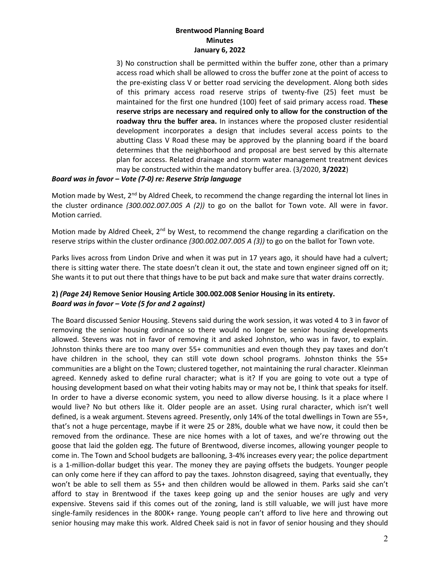3) No construction shall be permitted within the buffer zone, other than a primary access road which shall be allowed to cross the buffer zone at the point of access to the pre-existing class V or better road servicing the development. Along both sides of this primary access road reserve strips of twenty-five (25) feet must be maintained for the first one hundred (100) feet of said primary access road. **These reserve strips are necessary and required only to allow for the construction of the roadway thru the buffer area.** In instances where the proposed cluster residential development incorporates a design that includes several access points to the abutting Class V Road these may be approved by the planning board if the board determines that the neighborhood and proposal are best served by this alternate plan for access. Related drainage and storm water management treatment devices may be constructed within the mandatory buffer area. (3/2020, **3/2022**)

#### *Board was in favor – Vote (7-0) re: Reserve Strip language*

Motion made by West,  $2^{nd}$  by Aldred Cheek, to recommend the change regarding the internal lot lines in the cluster ordinance *(300.002.007.005 A (2))* to go on the ballot for Town vote. All were in favor. Motion carried.

Motion made by Aldred Cheek, 2<sup>nd</sup> by West, to recommend the change regarding a clarification on the reserve strips within the cluster ordinance *(300.002.007.005 A (3))* to go on the ballot for Town vote.

Parks lives across from Lindon Drive and when it was put in 17 years ago, it should have had a culvert; there is sitting water there. The state doesn't clean it out, the state and town engineer signed off on it; She wants it to put out there that things have to be put back and make sure that water drains correctly.

# **2)** *(Page 24)* **Remove Senior Housing Article 300.002.008 Senior Housing in its entirety.** *Board was in favor – Vote (5 for and 2 against)*

The Board discussed Senior Housing. Stevens said during the work session, it was voted 4 to 3 in favor of removing the senior housing ordinance so there would no longer be senior housing developments allowed. Stevens was not in favor of removing it and asked Johnston, who was in favor, to explain. Johnston thinks there are too many over 55+ communities and even though they pay taxes and don't have children in the school, they can still vote down school programs. Johnston thinks the 55+ communities are a blight on the Town; clustered together, not maintaining the rural character. Kleinman agreed. Kennedy asked to define rural character; what is it? If you are going to vote out a type of housing development based on what their voting habits may or may not be, I think that speaks for itself. In order to have a diverse economic system, you need to allow diverse housing. Is it a place where I would live? No but others like it. Older people are an asset. Using rural character, which isn't well defined, is a weak argument. Stevens agreed. Presently, only 14% of the total dwellings in Town are 55+, that's not a huge percentage, maybe if it were 25 or 28%, double what we have now, it could then be removed from the ordinance. These are nice homes with a lot of taxes, and we're throwing out the goose that laid the golden egg. The future of Brentwood, diverse incomes, allowing younger people to come in. The Town and School budgets are ballooning, 3-4% increases every year; the police department is a 1-million-dollar budget this year. The money they are paying offsets the budgets. Younger people can only come here if they can afford to pay the taxes. Johnston disagreed, saying that eventually, they won't be able to sell them as 55+ and then children would be allowed in them. Parks said she can't afford to stay in Brentwood if the taxes keep going up and the senior houses are ugly and very expensive. Stevens said if this comes out of the zoning, land is still valuable, we will just have more single-family residences in the 800K+ range. Young people can't afford to live here and throwing out senior housing may make this work. Aldred Cheek said is not in favor of senior housing and they should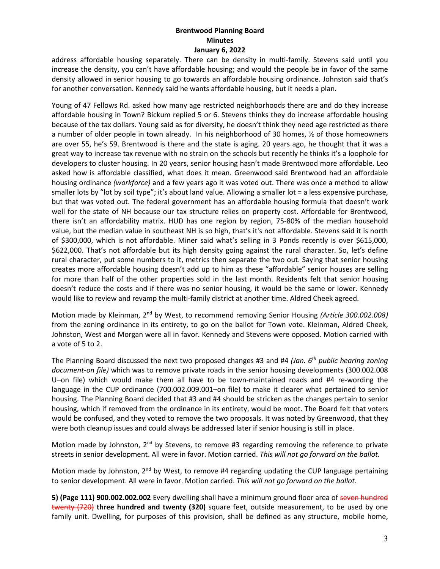address affordable housing separately. There can be density in multi-family. Stevens said until you increase the density, you can't have affordable housing; and would the people be in favor of the same density allowed in senior housing to go towards an affordable housing ordinance. Johnston said that's for another conversation. Kennedy said he wants affordable housing, but it needs a plan.

Young of 47 Fellows Rd. asked how many age restricted neighborhoods there are and do they increase affordable housing in Town? Bickum replied 5 or 6. Stevens thinks they do increase affordable housing because of the tax dollars. Young said as for diversity, he doesn't think they need age restricted as there a number of older people in town already. In his neighborhood of 30 homes, ½ of those homeowners are over 55, he's 59. Brentwood is there and the state is aging. 20 years ago, he thought that it was a great way to increase tax revenue with no strain on the schools but recently he thinks it's a loophole for developers to cluster housing. In 20 years, senior housing hasn't made Brentwood more affordable. Leo asked how is affordable classified, what does it mean. Greenwood said Brentwood had an affordable housing ordinance *(workforce)* and a few years ago it was voted out. There was once a method to allow smaller lots by "lot by soil type"; it's about land value. Allowing a smaller lot = a less expensive purchase, but that was voted out. The federal government has an affordable housing formula that doesn't work well for the state of NH because our tax structure relies on property cost. Affordable for Brentwood, there isn't an affordability matrix. HUD has one region by region, 75-80% of the median household value, but the median value in southeast NH is so high, that's it's not affordable. Stevens said it is north of \$300,000, which is not affordable. Miner said what's selling in 3 Ponds recently is over \$615,000, \$622,000. That's not affordable but its high density going against the rural character. So, let's define rural character, put some numbers to it, metrics then separate the two out. Saying that senior housing creates more affordable housing doesn't add up to him as these "affordable" senior houses are selling for more than half of the other properties sold in the last month. Residents felt that senior housing doesn't reduce the costs and if there was no senior housing, it would be the same or lower. Kennedy would like to review and revamp the multi-family district at another time. Aldred Cheek agreed.

Motion made by Kleinman, 2<sup>nd</sup> by West, to recommend removing Senior Housing *(Article 300.002.008)* from the zoning ordinance in its entirety, to go on the ballot for Town vote. Kleinman, Aldred Cheek, Johnston, West and Morgan were all in favor. Kennedy and Stevens were opposed. Motion carried with a vote of 5 to 2.

The Planning Board discussed the next two proposed changes #3 and #4 *(Jan. 6th public hearing zoning document-on file)* which was to remove private roads in the senior housing developments (300.002.008 U–on file) which would make them all have to be town-maintained roads and #4 re-wording the language in the CUP ordinance (700.002.009.001–on file) to make it clearer what pertained to senior housing. The Planning Board decided that #3 and #4 should be stricken as the changes pertain to senior housing, which if removed from the ordinance in its entirety, would be moot. The Board felt that voters would be confused, and they voted to remove the two proposals. It was noted by Greenwood, that they were both cleanup issues and could always be addressed later if senior housing is still in place.

Motion made by Johnston,  $2^{nd}$  by Stevens, to remove #3 regarding removing the reference to private streets in senior development. All were in favor. Motion carried. *This will not go forward on the ballot.*

Motion made by Johnston,  $2^{nd}$  by West, to remove #4 regarding updating the CUP language pertaining to senior development. All were in favor. Motion carried. *This will not go forward on the ballot.*

**5) (Page 111) 900.002.002.002** Every dwelling shall have a minimum ground floor area of seven hundred twenty (720) **three hundred and twenty (320)** square feet, outside measurement, to be used by one family unit. Dwelling, for purposes of this provision, shall be defined as any structure, mobile home,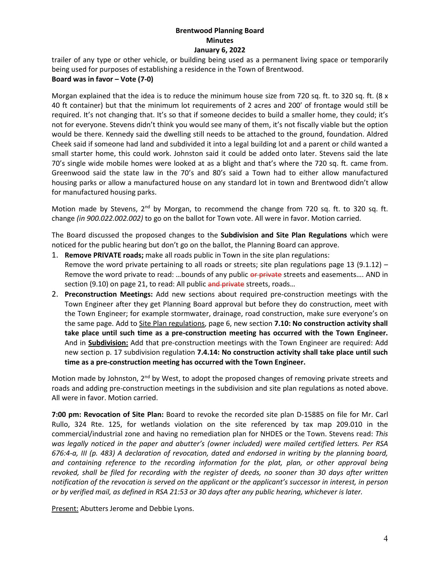trailer of any type or other vehicle, or building being used as a permanent living space or temporarily being used for purposes of establishing a residence in the Town of Brentwood.

## **Board was in favor – Vote (7-0)**

Morgan explained that the idea is to reduce the minimum house size from 720 sq. ft. to 320 sq. ft. (8 x 40 ft container) but that the minimum lot requirements of 2 acres and 200' of frontage would still be required. It's not changing that. It's so that if someone decides to build a smaller home, they could; it's not for everyone. Stevens didn't think you would see many of them, it's not fiscally viable but the option would be there. Kennedy said the dwelling still needs to be attached to the ground, foundation. Aldred Cheek said if someone had land and subdivided it into a legal building lot and a parent or child wanted a small starter home, this could work. Johnston said it could be added onto later. Stevens said the late 70's single wide mobile homes were looked at as a blight and that's where the 720 sq. ft. came from. Greenwood said the state law in the 70's and 80's said a Town had to either allow manufactured housing parks or allow a manufactured house on any standard lot in town and Brentwood didn't allow for manufactured housing parks.

Motion made by Stevens, 2<sup>nd</sup> by Morgan, to recommend the change from 720 sq. ft. to 320 sq. ft. change *(in 900.022.002.002)* to go on the ballot for Town vote. All were in favor. Motion carried.

The Board discussed the proposed changes to the **Subdivision and Site Plan Regulations** which were noticed for the public hearing but don't go on the ballot, the Planning Board can approve.

- 1. **Remove PRIVATE roads;** make all roads public in Town in the site plan regulations: Remove the word private pertaining to all roads or streets; site plan regulations page 13 (9.1.12) -Remove the word private to read: ...bounds of any public or private streets and easements.... AND in section (9.10) on page 21, to read: All public and private streets, roads...
- 2. **Preconstruction Meetings:** Add new sections about required pre-construction meetings with the Town Engineer after they get Planning Board approval but before they do construction, meet with the Town Engineer; for example stormwater, drainage, road construction, make sure everyone's on the same page. Add to Site Plan regulations, page 6, new section **7.10: No construction activity shall take place until such time as a pre-construction meeting has occurred with the Town Engineer.**  And in **Subdivision:** Add that pre-construction meetings with the Town Engineer are required: Add new section p. 17 subdivision regulation **7.4.14: No construction activity shall take place until such time as a pre-construction meeting has occurred with the Town Engineer.**

Motion made by Johnston, 2<sup>nd</sup> by West, to adopt the proposed changes of removing private streets and roads and adding pre-construction meetings in the subdivision and site plan regulations as noted above. All were in favor. Motion carried.

**7:00 pm: Revocation of Site Plan:** Board to revoke the recorded site plan D-15885 on file for Mr. Carl Rullo, 324 Rte. 125, for wetlands violation on the site referenced by tax map 209.010 in the commercial/industrial zone and having no remediation plan for NHDES or the Town. Stevens read: *This was legally noticed in the paper and abutter's (owner included) were mailed certified letters. Per RSA 676:4-a, III (p. 483) A declaration of revocation, dated and endorsed in writing by the planning board, and containing reference to the recording information for the plat, plan, or other approval being revoked, shall be filed for recording with the register of deeds, no sooner than 30 days after written notification of the revocation is served on the applicant or the applicant's successor in interest, in person or by verified mail, as defined in RSA 21:53 or 30 days after any public hearing, whichever is later.* 

Present: Abutters Jerome and Debbie Lyons.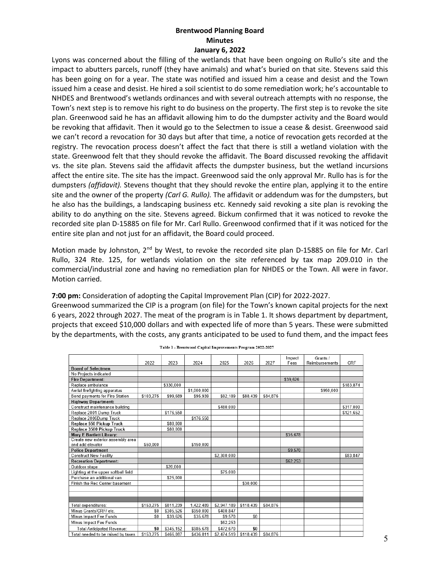Lyons was concerned about the filling of the wetlands that have been ongoing on Rullo's site and the impact to abutters parcels, runoff (they have animals) and what's buried on that site. Stevens said this has been going on for a year. The state was notified and issued him a cease and desist and the Town issued him a cease and desist. He hired a soil scientist to do some remediation work; he's accountable to NHDES and Brentwood's wetlands ordinances and with several outreach attempts with no response, the Town's next step is to remove his right to do business on the property. The first step is to revoke the site plan. Greenwood said he has an affidavit allowing him to do the dumpster activity and the Board would be revoking that affidavit. Then it would go to the Selectmen to issue a cease & desist. Greenwood said we can't record a revocation for 30 days but after that time, a notice of revocation gets recorded at the registry. The revocation process doesn't affect the fact that there is still a wetland violation with the state. Greenwood felt that they should revoke the affidavit. The Board discussed revoking the affidavit vs. the site plan. Stevens said the affidavit affects the dumpster business, but the wetland incursions affect the entire site. The site has the impact. Greenwood said the only approval Mr. Rullo has is for the dumpsters *(affidavit).* Stevens thought that they should revoke the entire plan, applying it to the entire site and the owner of the property *(Carl G. Rullo).* The affidavit or addendum was for the dumpsters, but he also has the buildings, a landscaping business etc. Kennedy said revoking a site plan is revoking the ability to do anything on the site. Stevens agreed. Bickum confirmed that it was noticed to revoke the recorded site plan D-15885 on file for Mr. Carl Rullo. Greenwood confirmed that if it was noticed for the entire site plan and not just for an affidavit, the Board could proceed.

Motion made by Johnston, 2<sup>nd</sup> by West, to revoke the recorded site plan D-15885 on file for Mr. Carl Rullo, 324 Rte. 125, for wetlands violation on the site referenced by tax map 209.010 in the commercial/industrial zone and having no remediation plan for NHDES or the Town. All were in favor. Motion carried.

**7:00 pm:** Consideration of adopting the Capital Improvement Plan (CIP) for 2022-2027.

Greenwood summarized the CIP is a program (on file) for the Town's known capital projects for the next 6 years, 2022 through 2027. The meat of the program is in Table 1. It shows department by department, projects that exceed \$10,000 dollars and with expected life of more than 5 years. These were submitted by the departments, with the costs, any grants anticipated to be used to fund them, and the impact fees

|                                      | 2022           | 2023      | 2024        | 2025        | 2026      | 2027     | Impact<br>Fees | Grants /<br>Reimbursements | CRF       |
|--------------------------------------|----------------|-----------|-------------|-------------|-----------|----------|----------------|----------------------------|-----------|
| <b>Board of Selectmen</b>            |                |           |             |             |           |          |                |                            |           |
| No Projects indicated                |                |           |             |             |           |          |                |                            |           |
| <b>Fire Department:</b>              |                |           |             |             |           |          | \$39,626       |                            |           |
| Replace ambulance                    |                | \$330,000 |             |             |           |          |                |                            | \$183.874 |
| Aerial firefighting apparatus        |                |           | \$1,000,000 |             |           |          |                | \$950,000                  |           |
| Bond payments for Fire Station       | \$103,275      | \$99.689  | \$95.939    | \$92.189    | \$88.439  | \$84.876 |                |                            |           |
| <b>Highway Department:</b>           |                |           |             |             |           |          |                |                            |           |
| Construct maintenance building       |                |           |             | \$480,000   |           |          |                |                            | \$317.000 |
| Replace 2001 Dump Truck              |                | \$176,550 |             |             |           |          |                |                            | \$121.652 |
| Replace 2006Dump Truck               |                |           | \$176,550   |             |           |          |                |                            |           |
| Replace 550 Pickup Truck             |                | \$80,000  |             |             |           |          |                |                            |           |
| Replace 3500 Pickup Truck            |                | \$80.000  |             |             |           |          |                |                            |           |
| <b>Mary E Bartlett Library:</b>      |                |           |             |             |           |          | \$35.678       |                            |           |
| Create new exterior assembly area    |                |           |             |             |           |          |                |                            |           |
| and add elevator                     | \$50.000       |           | \$150.000   |             |           |          |                |                            |           |
| <b>Police Department</b>             |                |           |             |             |           |          | \$9.570        |                            |           |
| <b>Construct New Facility</b>        |                |           |             | \$2,300,000 |           |          |                |                            | \$83.847  |
| <b>Recreation Department:</b>        |                |           |             |             |           |          | \$62,253       |                            |           |
| Outdoor stage                        |                | \$20.000  |             |             |           |          |                |                            |           |
| Lighting at the upper softball field |                |           |             | \$75,000    |           |          |                |                            |           |
| Purchase an additional van           |                | \$25.000  |             |             |           |          |                |                            |           |
| Finish the Rec Center basement       |                |           |             |             | \$30.000  |          |                |                            |           |
|                                      |                |           |             |             |           |          |                |                            |           |
|                                      |                |           |             |             |           |          |                |                            |           |
|                                      |                |           |             |             |           |          |                |                            |           |
| Total expenditures:                  | \$153.275      | \$811.239 | 1,422,489   | \$2,947,189 | \$118,439 | \$84.876 |                |                            |           |
| Minus Grants/CRF/ etc.               | S <sub>0</sub> | \$305,526 | \$950,000   | \$400,847   |           |          |                |                            |           |
| Minus Impact Fee Funds               | S <sub>0</sub> | \$39.626  | \$35,678    | \$9,570     | \$0       |          |                |                            |           |
| Minus Impact Fee Funds               |                |           |             | \$62,253    |           |          |                |                            |           |
| <b>Total Anticipated Revenue:</b>    | \$0            | \$345,152 | \$985,678   | \$472,670   | \$0       |          |                |                            |           |
| Total needed to be raised by taxes   | \$153 275      | \$466,087 | \$436.811   | \$2,474,519 | \$118,439 | \$84,876 |                |                            |           |

Table 1 - Brentwood Capital Improvements Program 2022-2027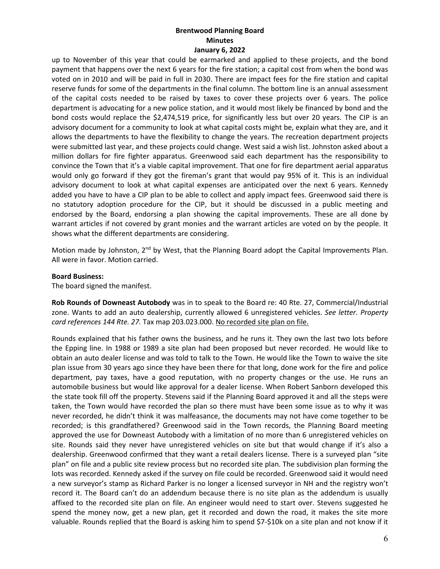up to November of this year that could be earmarked and applied to these projects, and the bond payment that happens over the next 6 years for the fire station; a capital cost from when the bond was voted on in 2010 and will be paid in full in 2030. There are impact fees for the fire station and capital reserve funds for some of the departments in the final column. The bottom line is an annual assessment of the capital costs needed to be raised by taxes to cover these projects over 6 years. The police department is advocating for a new police station, and it would most likely be financed by bond and the bond costs would replace the \$2,474,519 price, for significantly less but over 20 years. The CIP is an advisory document for a community to look at what capital costs might be, explain what they are, and it allows the departments to have the flexibility to change the years. The recreation department projects were submitted last year, and these projects could change. West said a wish list. Johnston asked about a million dollars for fire fighter apparatus. Greenwood said each department has the responsibility to convince the Town that it's a viable capital improvement. That one for fire department aerial apparatus would only go forward if they got the fireman's grant that would pay 95% of it. This is an individual advisory document to look at what capital expenses are anticipated over the next 6 years. Kennedy added you have to have a CIP plan to be able to collect and apply impact fees. Greenwood said there is no statutory adoption procedure for the CIP, but it should be discussed in a public meeting and endorsed by the Board, endorsing a plan showing the capital improvements. These are all done by warrant articles if not covered by grant monies and the warrant articles are voted on by the people. It shows what the different departments are considering.

Motion made by Johnston, 2<sup>nd</sup> by West, that the Planning Board adopt the Capital Improvements Plan. All were in favor. Motion carried.

#### **Board Business:**

The board signed the manifest.

**Rob Rounds of Downeast Autobody** was in to speak to the Board re: 40 Rte. 27, Commercial/Industrial zone. Wants to add an auto dealership, currently allowed 6 unregistered vehicles. *See letter. Property card references 144 Rte. 27.* Tax map 203.023.000. No recorded site plan on file.

Rounds explained that his father owns the business, and he runs it. They own the last two lots before the Epping line. In 1988 or 1989 a site plan had been proposed but never recorded. He would like to obtain an auto dealer license and was told to talk to the Town. He would like the Town to waive the site plan issue from 30 years ago since they have been there for that long, done work for the fire and police department, pay taxes, have a good reputation, with no property changes or the use. He runs an automobile business but would like approval for a dealer license. When Robert Sanborn developed this the state took fill off the property. Stevens said if the Planning Board approved it and all the steps were taken, the Town would have recorded the plan so there must have been some issue as to why it was never recorded, he didn't think it was malfeasance, the documents may not have come together to be recorded; is this grandfathered? Greenwood said in the Town records, the Planning Board meeting approved the use for Downeast Autobody with a limitation of no more than 6 unregistered vehicles on site. Rounds said they never have unregistered vehicles on site but that would change if it's also a dealership. Greenwood confirmed that they want a retail dealers license. There is a surveyed plan "site plan" on file and a public site review process but no recorded site plan. The subdivision plan forming the lots was recorded. Kennedy asked if the survey on file could be recorded. Greenwood said it would need a new surveyor's stamp as Richard Parker is no longer a licensed surveyor in NH and the registry won't record it. The Board can't do an addendum because there is no site plan as the addendum is usually affixed to the recorded site plan on file. An engineer would need to start over. Stevens suggested he spend the money now, get a new plan, get it recorded and down the road, it makes the site more valuable. Rounds replied that the Board is asking him to spend \$7-\$10k on a site plan and not know if it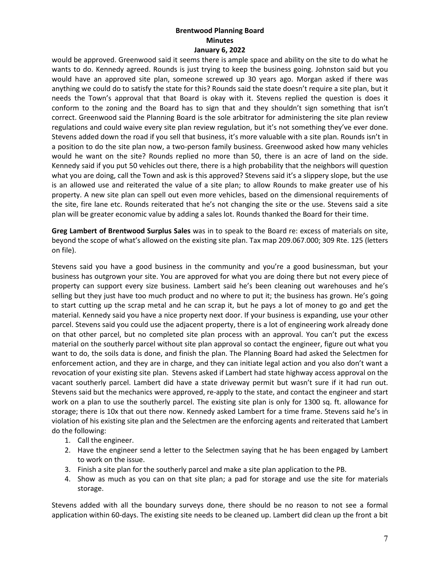would be approved. Greenwood said it seems there is ample space and ability on the site to do what he wants to do. Kennedy agreed. Rounds is just trying to keep the business going. Johnston said but you would have an approved site plan, someone screwed up 30 years ago. Morgan asked if there was anything we could do to satisfy the state for this? Rounds said the state doesn't require a site plan, but it needs the Town's approval that that Board is okay with it. Stevens replied the question is does it conform to the zoning and the Board has to sign that and they shouldn't sign something that isn't correct. Greenwood said the Planning Board is the sole arbitrator for administering the site plan review regulations and could waive every site plan review regulation, but it's not something they've ever done. Stevens added down the road if you sell that business, it's more valuable with a site plan. Rounds isn't in a position to do the site plan now, a two-person family business. Greenwood asked how many vehicles would he want on the site? Rounds replied no more than 50, there is an acre of land on the side. Kennedy said if you put 50 vehicles out there, there is a high probability that the neighbors will question what you are doing, call the Town and ask is this approved? Stevens said it's a slippery slope, but the use is an allowed use and reiterated the value of a site plan; to allow Rounds to make greater use of his property. A new site plan can spell out even more vehicles, based on the dimensional requirements of the site, fire lane etc. Rounds reiterated that he's not changing the site or the use. Stevens said a site plan will be greater economic value by adding a sales lot. Rounds thanked the Board for their time.

**Greg Lambert of Brentwood Surplus Sales** was in to speak to the Board re: excess of materials on site, beyond the scope of what's allowed on the existing site plan. Tax map 209.067.000; 309 Rte. 125 (letters on file).

Stevens said you have a good business in the community and you're a good businessman, but your business has outgrown your site. You are approved for what you are doing there but not every piece of property can support every size business. Lambert said he's been cleaning out warehouses and he's selling but they just have too much product and no where to put it; the business has grown. He's going to start cutting up the scrap metal and he can scrap it, but he pays a lot of money to go and get the material. Kennedy said you have a nice property next door. If your business is expanding, use your other parcel. Stevens said you could use the adjacent property, there is a lot of engineering work already done on that other parcel, but no completed site plan process with an approval. You can't put the excess material on the southerly parcel without site plan approval so contact the engineer, figure out what you want to do, the soils data is done, and finish the plan. The Planning Board had asked the Selectmen for enforcement action, and they are in charge, and they can initiate legal action and you also don't want a revocation of your existing site plan. Stevens asked if Lambert had state highway access approval on the vacant southerly parcel. Lambert did have a state driveway permit but wasn't sure if it had run out. Stevens said but the mechanics were approved, re-apply to the state, and contact the engineer and start work on a plan to use the southerly parcel. The existing site plan is only for 1300 sq. ft. allowance for storage; there is 10x that out there now. Kennedy asked Lambert for a time frame. Stevens said he's in violation of his existing site plan and the Selectmen are the enforcing agents and reiterated that Lambert do the following:

- 1. Call the engineer.
- 2. Have the engineer send a letter to the Selectmen saying that he has been engaged by Lambert to work on the issue.
- 3. Finish a site plan for the southerly parcel and make a site plan application to the PB.
- 4. Show as much as you can on that site plan; a pad for storage and use the site for materials storage.

Stevens added with all the boundary surveys done, there should be no reason to not see a formal application within 60-days. The existing site needs to be cleaned up. Lambert did clean up the front a bit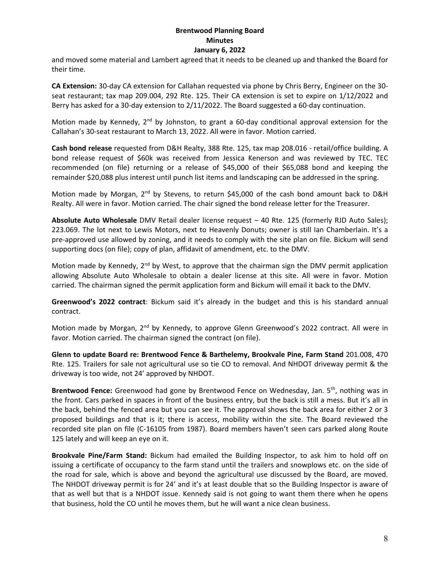and moved some material and Lambert agreed that it needs to be cleaned up and thanked the Board for their time.

**CA Extension:** 30-day CA extension for Callahan requested via phone by Chris Berry, Engineer on the 30 seat restaurant; tax map 209.004, 292 Rte. 125. Their CA extension is set to expire on 1/12/2022 and Berry has asked for a 30-day extension to 2/11/2022. The Board suggested a 60-day continuation.

Motion made by Kennedy, 2<sup>nd</sup> by Johnston, to grant a 60-day conditional approval extension for the Callahan's 30-seat restaurant to March 13, 2022. All were in favor. Motion carried.

**Cash bond release** requested from D&H Realty, 388 Rte. 125, tax map 208.016 - retail/office building. A bond release request of \$60k was received from Jessica Kenerson and was reviewed by TEC. TEC recommended (on file) returning or a release of \$45,000 of their \$65,088 bond and keeping the remainder \$20,088 plus interest until punch list items and landscaping can be addressed in the spring.

Motion made by Morgan, 2<sup>nd</sup> by Stevens, to return \$45,000 of the cash bond amount back to D&H Realty. All were in favor. Motion carried. The chair signed the bond release letter for the Treasurer.

**Absolute Auto Wholesale** DMV Retail dealer license request – 40 Rte. 125 (formerly RJD Auto Sales); 223.069. The lot next to Lewis Motors, next to Heavenly Donuts; owner is still Ian Chamberlain. It's a pre-approved use allowed by zoning, and it needs to comply with the site plan on file. Bickum will send supporting docs (on file); copy of plan, affidavit of amendment, etc. to the DMV.

Motion made by Kennedy, 2<sup>nd</sup> by West, to approve that the chairman sign the DMV permit application allowing Absolute Auto Wholesale to obtain a dealer license at this site. All were in favor. Motion carried. The chairman signed the permit application form and Bickum will email it back to the DMV.

**Greenwood's 2022 contract**: Bickum said it's already in the budget and this is his standard annual contract.

Motion made by Morgan, 2<sup>nd</sup> by Kennedy, to approve Glenn Greenwood's 2022 contract. All were in favor. Motion carried. The chairman signed the contract (on file).

**Glenn to update Board re: Brentwood Fence & Barthelemy, Brookvale Pine, Farm Stand** 201.008, 470 Rte. 125. Trailers for sale not agricultural use so tie CO to removal. And NHDOT driveway permit & the driveway is too wide, not 24' approved by NHDOT.

Brentwood Fence: Greenwood had gone by Brentwood Fence on Wednesday, Jan. 5<sup>th</sup>, nothing was in the front. Cars parked in spaces in front of the business entry, but the back is still a mess. But it's all in the back, behind the fenced area but you can see it. The approval shows the back area for either 2 or 3 proposed buildings and that is it; there is access, mobility within the site. The Board reviewed the recorded site plan on file (C-16105 from 1987). Board members haven't seen cars parked along Route 125 lately and will keep an eye on it.

**Brookvale Pine/Farm Stand:** Bickum had emailed the Building Inspector, to ask him to hold off on issuing a certificate of occupancy to the farm stand until the trailers and snowplows etc. on the side of the road for sale, which is above and beyond the agricultural use discussed by the Board, are moved. The NHDOT driveway permit is for 24' and it's at least double that so the Building Inspector is aware of that as well but that is a NHDOT issue. Kennedy said is not going to want them there when he opens that business, hold the CO until he moves them, but he will want a nice clean business.